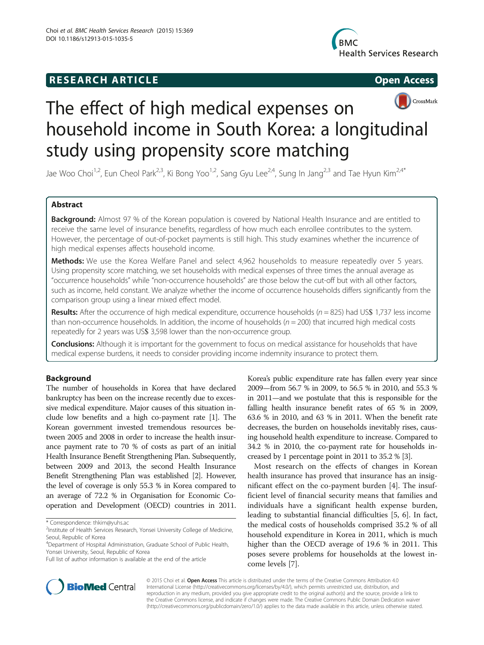# **RESEARCH ARTICLE Example 2014 CONSIDERING CONSIDERING CONSIDERING CONSIDERING CONSIDERING CONSIDERING CONSIDERING CONSIDERING CONSIDERING CONSIDERING CONSIDERING CONSIDERING CONSIDERING CONSIDERING CONSIDERING CONSIDE**







# The effect of high medical expenses on household income in South Korea: a longitudinal study using propensity score matching

Jae Woo Choi<sup>1,2</sup>, Eun Cheol Park<sup>2,3</sup>, Ki Bong Yoo<sup>1,2</sup>, Sang Gyu Lee<sup>2,4</sup>, Sung In Jang<sup>2,3</sup> and Tae Hyun Kim<sup>2,4\*</sup>

# Abstract

Background: Almost 97 % of the Korean population is covered by National Health Insurance and are entitled to receive the same level of insurance benefits, regardless of how much each enrollee contributes to the system. However, the percentage of out-of-pocket payments is still high. This study examines whether the incurrence of high medical expenses affects household income.

Methods: We use the Korea Welfare Panel and select 4,962 households to measure repeatedly over 5 years. Using propensity score matching, we set households with medical expenses of three times the annual average as "occurrence households" while "non-occurrence households" are those below the cut-off but with all other factors, such as income, held constant. We analyze whether the income of occurrence households differs significantly from the comparison group using a linear mixed effect model.

Results: After the occurrence of high medical expenditure, occurrence households ( $n = 825$ ) had US\$ 1,737 less income than non-occurrence households. In addition, the income of households ( $n = 200$ ) that incurred high medical costs repeatedly for 2 years was US\$ 3,598 lower than the non-occurrence group.

**Conclusions:** Although it is important for the government to focus on medical assistance for households that have medical expense burdens, it needs to consider providing income indemnity insurance to protect them.

## Background

The number of households in Korea that have declared bankruptcy has been on the increase recently due to excessive medical expenditure. Major causes of this situation include low benefits and a high co-payment rate [\[1](#page-8-0)]. The Korean government invested tremendous resources between 2005 and 2008 in order to increase the health insurance payment rate to 70 % of costs as part of an initial Health Insurance Benefit Strengthening Plan. Subsequently, between 2009 and 2013, the second Health Insurance Benefit Strengthening Plan was established [\[2](#page-8-0)]. However, the level of coverage is only 55.3 % in Korea compared to an average of 72.2 % in Organisation for Economic Cooperation and Development (OECD) countries in 2011.

\* Correspondence: [thkim@yuhs.ac](mailto:thkim@yuhs.ac) <sup>2</sup>



Most research on the effects of changes in Korean health insurance has proved that insurance has an insignificant effect on the co-payment burden [[4\]](#page-8-0). The insufficient level of financial security means that families and individuals have a significant health expense burden, leading to substantial financial difficulties [\[5](#page-8-0), [6](#page-8-0)]. In fact, the medical costs of households comprised 35.2 % of all household expenditure in Korea in 2011, which is much higher than the OECD average of 19.6 % in 2011. This poses severe problems for households at the lowest income levels [\[7](#page-8-0)].



© 2015 Choi et al. Open Access This article is distributed under the terms of the Creative Commons Attribution 4.0 International License [\(http://creativecommons.org/licenses/by/4.0/](http://creativecommons.org/licenses/by/4.0/)), which permits unrestricted use, distribution, and reproduction in any medium, provided you give appropriate credit to the original author(s) and the source, provide a link to the Creative Commons license, and indicate if changes were made. The Creative Commons Public Domain Dedication waiver [\(http://creativecommons.org/publicdomain/zero/1.0/](http://creativecommons.org/publicdomain/zero/1.0/)) applies to the data made available in this article, unless otherwise stated.

<sup>&</sup>lt;sup>2</sup>Institute of Health Services Research, Yonsei University College of Medicine, Seoul, Republic of Korea

<sup>4</sup> Department of Hospital Administration, Graduate School of Public Health, Yonsei University, Seoul, Republic of Korea

Full list of author information is available at the end of the article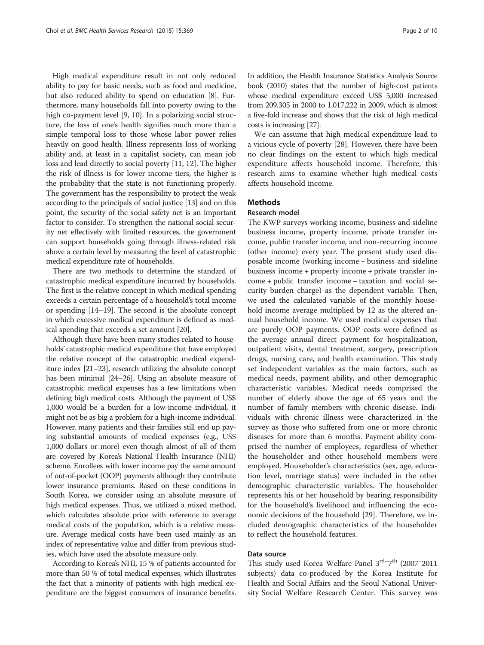High medical expenditure result in not only reduced ability to pay for basic needs, such as food and medicine, but also reduced ability to spend on education [\[8](#page-8-0)]. Furthermore, many households fall into poverty owing to the high co-payment level [\[9](#page-8-0), [10\]](#page-8-0). In a polarizing social structure, the loss of one's health signifies much more than a simple temporal loss to those whose labor power relies heavily on good health. Illness represents loss of working ability and, at least in a capitalist society, can mean job loss and lead directly to social poverty [[11](#page-8-0), [12\]](#page-8-0). The higher the risk of illness is for lower income tiers, the higher is the probability that the state is not functioning properly. The government has the responsibility to protect the weak according to the principals of social justice [[13](#page-8-0)] and on this point, the security of the social safety net is an important factor to consider. To strengthen the national social security net effectively with limited resources, the government can support households going through illness-related risk above a certain level by measuring the level of catastrophic medical expenditure rate of households.

There are two methods to determine the standard of catastrophic medical expenditure incurred by households. The first is the relative concept in which medical spending exceeds a certain percentage of a household's total income or spending [[14](#page-8-0)–[19\]](#page-9-0). The second is the absolute concept in which excessive medical expenditure is defined as medical spending that exceeds a set amount [[20](#page-9-0)].

Although there have been many studies related to households' catastrophic medical expenditure that have employed the relative concept of the catastrophic medical expenditure index [[21](#page-9-0)–[23](#page-9-0)], research utilizing the absolute concept has been minimal [[24](#page-9-0)–[26](#page-9-0)]. Using an absolute measure of catastrophic medical expenses has a few limitations when defining high medical costs. Although the payment of US\$ 1,000 would be a burden for a low-income individual, it might not be as big a problem for a high-income individual. However, many patients and their families still end up paying substantial amounts of medical expenses (e.g., US\$ 1,000 dollars or more) even though almost of all of them are covered by Korea's National Health Insurance (NHI) scheme. Enrollees with lower income pay the same amount of out-of-pocket (OOP) payments although they contribute lower insurance premiums. Based on these conditions in South Korea, we consider using an absolute measure of high medical expenses. Thus, we utilized a mixed method, which calculates absolute price with reference to average medical costs of the population, which is a relative measure. Average medical costs have been used mainly as an index of representative value and differ from previous studies, which have used the absolute measure only.

According to Korea's NHI, 15 % of patients accounted for more than 50 % of total medical expenses, which illustrates the fact that a minority of patients with high medical expenditure are the biggest consumers of insurance benefits. In addition, the Health Insurance Statistics Analysis Source book (2010) states that the number of high-cost patients whose medical expenditure exceed US\$ 5,000 increased from 209,305 in 2000 to 1,017,222 in 2009, which is almost a five-fold increase and shows that the risk of high medical costs is increasing [[27\]](#page-9-0).

We can assume that high medical expenditure lead to a vicious cycle of poverty [\[28](#page-9-0)]. However, there have been no clear findings on the extent to which high medical expenditure affects household income. Therefore, this research aims to examine whether high medical costs affects household income.

#### Methods

#### Research model

The KWP surveys working income, business and sideline business income, property income, private transfer income, public transfer income, and non-recurring income (other income) every year. The present study used disposable income (working income + business and sideline business income + property income + private transfer income + public transfer income − taxation and social security burden charge) as the dependent variable. Then, we used the calculated variable of the monthly household income average multiplied by 12 as the altered annual household income. We used medical expenses that are purely OOP payments. OOP costs were defined as the average annual direct payment for hospitalization, outpatient visits, dental treatment, surgery, prescription drugs, nursing care, and health examination. This study set independent variables as the main factors, such as medical needs, payment ability, and other demographic characteristic variables. Medical needs comprised the number of elderly above the age of 65 years and the number of family members with chronic disease. Individuals with chronic illness were characterized in the survey as those who suffered from one or more chronic diseases for more than 6 months. Payment ability comprised the number of employees, regardless of whether the householder and other household members were employed. Householder's characteristics (sex, age, education level, marriage status) were included in the other demographic characteristic variables. The householder represents his or her household by bearing responsibility for the household's livelihood and influencing the economic decisions of the household [\[29\]](#page-9-0). Therefore, we included demographic characteristics of the householder to reflect the household features.

#### Data source

This study used Korea Welfare Panel 3<sup>rd–7th</sup> (2007<sup>-</sup>2011 subjects) data co-produced by the Korea Institute for Health and Social Affairs and the Seoul National University Social Welfare Research Center. This survey was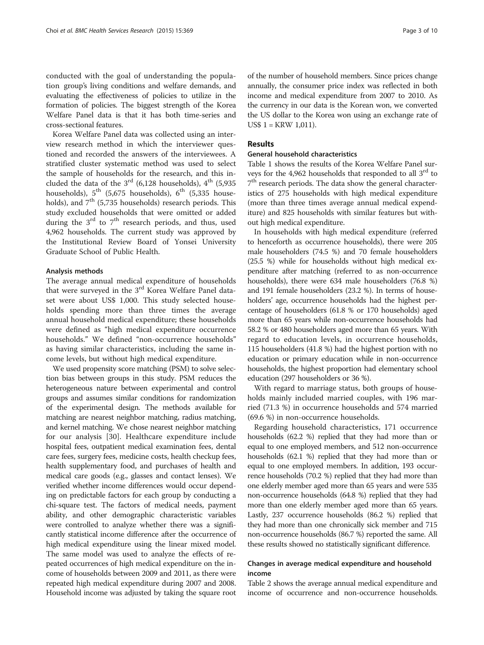conducted with the goal of understanding the population group's living conditions and welfare demands, and evaluating the effectiveness of policies to utilize in the formation of policies. The biggest strength of the Korea Welfare Panel data is that it has both time-series and cross-sectional features.

Korea Welfare Panel data was collected using an interview research method in which the interviewer questioned and recorded the answers of the interviewees. A stratified cluster systematic method was used to select the sample of households for the research, and this included the data of the  $3<sup>rd</sup>$  (6,128 households),  $4<sup>th</sup>$  (5,935 households),  $5<sup>th</sup>$  (5,675 households),  $6<sup>th</sup>$  (5,335 households), and  $7<sup>th</sup>$  (5,735 households) research periods. This study excluded households that were omitted or added during the  $3<sup>rd</sup>$  to  $7<sup>th</sup>$  research periods, and thus, used 4,962 households. The current study was approved by the Institutional Review Board of Yonsei University Graduate School of Public Health.

#### Analysis methods

The average annual medical expenditure of households that were surveyed in the 3<sup>rd</sup> Korea Welfare Panel dataset were about US\$ 1,000. This study selected households spending more than three times the average annual household medical expenditure; these households were defined as "high medical expenditure occurrence households." We defined "non-occurrence households" as having similar characteristics, including the same income levels, but without high medical expenditure.

We used propensity score matching (PSM) to solve selection bias between groups in this study. PSM reduces the heterogeneous nature between experimental and control groups and assumes similar conditions for randomization of the experimental design. The methods available for matching are nearest neighbor matching, radius matching, and kernel matching. We chose nearest neighbor matching for our analysis [[30\]](#page-9-0). Healthcare expenditure include hospital fees, outpatient medical examination fees, dental care fees, surgery fees, medicine costs, health checkup fees, health supplementary food, and purchases of health and medical care goods (e.g., glasses and contact lenses). We verified whether income differences would occur depending on predictable factors for each group by conducting a chi-square test. The factors of medical needs, payment ability, and other demographic characteristic variables were controlled to analyze whether there was a significantly statistical income difference after the occurrence of high medical expenditure using the linear mixed model. The same model was used to analyze the effects of repeated occurrences of high medical expenditure on the income of households between 2009 and 2011, as there were repeated high medical expenditure during 2007 and 2008. Household income was adjusted by taking the square root

of the number of household members. Since prices change annually, the consumer price index was reflected in both income and medical expenditure from 2007 to 2010. As the currency in our data is the Korean won, we converted the US dollar to the Korea won using an exchange rate of US\$ 1 = KRW 1,011).

## Results

#### General household characteristics

Table [1](#page-3-0) shows the results of the Korea Welfare Panel surveys for the 4,962 households that responded to all  $3<sup>rd</sup>$  to 7<sup>th</sup> research periods. The data show the general characteristics of 275 households with high medical expenditure (more than three times average annual medical expenditure) and 825 households with similar features but without high medical expenditure.

In households with high medical expenditure (referred to henceforth as occurrence households), there were 205 male householders (74.5 %) and 70 female householders (25.5 %) while for households without high medical expenditure after matching (referred to as non-occurrence households), there were 634 male householders (76.8 %) and 191 female householders (23.2 %). In terms of householders' age, occurrence households had the highest percentage of householders (61.8 % or 170 households) aged more than 65 years while non-occurrence households had 58.2 % or 480 householders aged more than 65 years. With regard to education levels, in occurrence households, 115 householders (41.8 %) had the highest portion with no education or primary education while in non-occurrence households, the highest proportion had elementary school education (297 householders or 36 %).

With regard to marriage status, both groups of households mainly included married couples, with 196 married (71.3 %) in occurrence households and 574 married (69.6 %) in non-occurrence households.

Regarding household characteristics, 171 occurrence households (62.2 %) replied that they had more than or equal to one employed members, and 512 non-occurrence households (62.1 %) replied that they had more than or equal to one employed members. In addition, 193 occurrence households (70.2 %) replied that they had more than one elderly member aged more than 65 years and were 535 non-occurrence households (64.8 %) replied that they had more than one elderly member aged more than 65 years. Lastly, 237 occurrence households (86.2 %) replied that they had more than one chronically sick member and 715 non-occurrence households (86.7 %) reported the same. All these results showed no statistically significant difference.

#### Changes in average medical expenditure and household income

Table [2](#page-3-0) shows the average annual medical expenditure and income of occurrence and non-occurrence households.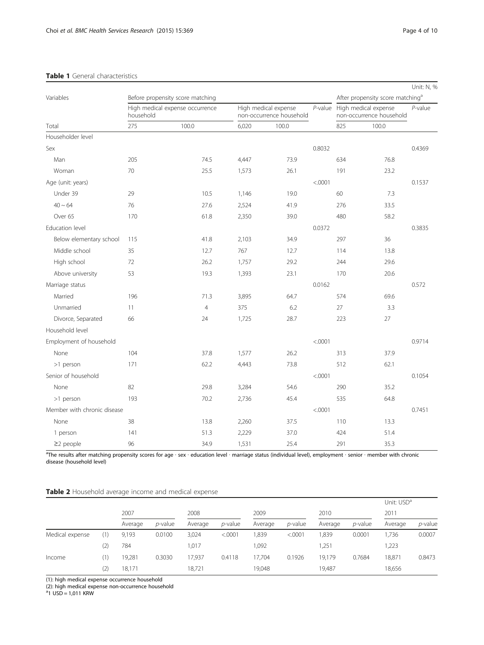# <span id="page-3-0"></span>Table 1 General characteristics

|                             |                                                                                  |                |                                                  |       |         |                                                          |        | Unit: N, % |  |
|-----------------------------|----------------------------------------------------------------------------------|----------------|--------------------------------------------------|-------|---------|----------------------------------------------------------|--------|------------|--|
| Variables                   | After propensity score matching <sup>a</sup><br>Before propensity score matching |                |                                                  |       |         |                                                          |        |            |  |
|                             | High medical expense occurrence<br>household                                     |                | High medical expense<br>non-occurrence household |       |         | P-value High medical expense<br>non-occurrence household |        | $P$ -value |  |
| Total                       | 275                                                                              | 100.0          | 6,020                                            | 100.0 |         | 825                                                      | 100.0  |            |  |
| Householder level           |                                                                                  |                |                                                  |       |         |                                                          |        |            |  |
| Sex                         |                                                                                  |                |                                                  |       | 0.8032  |                                                          |        | 0.4369     |  |
| Man                         | 205                                                                              | 74.5           | 4,447                                            | 73.9  |         | 634                                                      | 76.8   |            |  |
| Woman                       | 70                                                                               | 25.5           | 1,573                                            | 26.1  |         | 191                                                      | 23.2   |            |  |
| Age (unit: years)           |                                                                                  |                |                                                  |       | < .0001 |                                                          |        | 0.1537     |  |
| Under 39                    | 29                                                                               | 10.5           | 1,146                                            | 19.0  |         | 60                                                       | 7.3    |            |  |
| $40 \sim 64$                | 76                                                                               | 27.6           | 2,524                                            | 41.9  |         | 276                                                      | 33.5   |            |  |
| Over 65                     | 170                                                                              | 61.8           | 2,350                                            | 39.0  |         | 480                                                      | 58.2   |            |  |
| Education level             |                                                                                  |                |                                                  |       | 0.0372  |                                                          |        | 0.3835     |  |
| Below elementary school     | 115                                                                              | 41.8           | 2,103                                            | 34.9  |         | 297                                                      | 36     |            |  |
| Middle school               | 35                                                                               | 12.7           | 767                                              | 12.7  |         | 114                                                      | 13.8   |            |  |
| High school                 | 72                                                                               | 26.2           | 1,757                                            | 29.2  |         | 244                                                      | 29.6   |            |  |
| Above university            | 53                                                                               | 19.3           | 1,393                                            | 23.1  |         | 170                                                      | 20.6   |            |  |
| Marriage status             |                                                                                  |                |                                                  |       | 0.0162  |                                                          |        | 0.572      |  |
| Married                     | 196                                                                              | 71.3           | 3,895                                            | 64.7  |         | 574                                                      | 69.6   |            |  |
| Unmarried                   | 11                                                                               | $\overline{4}$ | 375                                              | 6.2   |         | 27                                                       | 3.3    |            |  |
| Divorce, Separated          | 66                                                                               | 24             | 1,725                                            | 28.7  |         | 223                                                      | $27\,$ |            |  |
| Household level             |                                                                                  |                |                                                  |       |         |                                                          |        |            |  |
| Employment of household     |                                                                                  |                |                                                  |       | < .0001 |                                                          |        | 0.9714     |  |
| None                        | 104                                                                              | 37.8           | 1,577                                            | 26.2  |         | 313                                                      | 37.9   |            |  |
| >1 person                   | 171                                                                              | 62.2           | 4,443                                            | 73.8  |         | 512                                                      | 62.1   |            |  |
| Senior of household         |                                                                                  |                |                                                  |       | < .0001 |                                                          |        | 0.1054     |  |
| None                        | 82                                                                               | 29.8           | 3,284                                            | 54.6  |         | 290                                                      | 35.2   |            |  |
| >1 person                   | 193                                                                              | 70.2           | 2,736                                            | 45.4  |         | 535                                                      | 64.8   |            |  |
| Member with chronic disease |                                                                                  |                |                                                  |       | < .0001 |                                                          |        | 0.7451     |  |
| None                        | 38                                                                               | 13.8           | 2,260                                            | 37.5  |         | 110                                                      | 13.3   |            |  |
| 1 person                    | 141                                                                              | 51.3           | 2,229                                            | 37.0  |         | 424                                                      | 51.4   |            |  |
| $\geq$ 2 people             | 96                                                                               | 34.9           | 1,531                                            | 25.4  |         | 291                                                      | 35.3   |            |  |

aThe results after matching propensity scores for age ∙ sex ∙ education level ∙ marriage status (individual level), employment ∙ senior ∙ member with chronic disease (household level)

# Table 2 Household average income and medical expense

|                 |     |         |                 |         |                 |         |                 |         |                 | Unit: USD <sup>a</sup> |                 |
|-----------------|-----|---------|-----------------|---------|-----------------|---------|-----------------|---------|-----------------|------------------------|-----------------|
|                 |     | 2007    |                 | 2008    |                 | 2009    |                 | 2010    |                 | 2011                   |                 |
|                 |     | Average | <i>p</i> -value | Average | <i>p</i> -value | Average | <i>p</i> -value | Average | <i>p</i> -value | Average                | <i>p</i> -value |
| Medical expense | (1) | 9.193   | 0.0100          | 3,024   | < .0001         | 1,839   | < 0.0001        | ,839    | 0.0001          | 1,736                  | 0.0007          |
|                 | (2) | 784     |                 | 1,017   |                 | 1,092   |                 | 1,251   |                 | 1,223                  |                 |
| Income          | (1) | 19,281  | 0.3030          | 17.937  | 0.4118          | 17.704  | 0.1926          | 19.179  | 0.7684          | 18.871                 | 0.8473          |
|                 | (2) | 18,171  |                 | 18,721  |                 | 19,048  |                 | 19,487  |                 | 18,656                 |                 |

(1): high medical expense occurrence household

(2): high medical expense non-occurrence household<br><sup>a</sup>1 USD = 1,011 KRW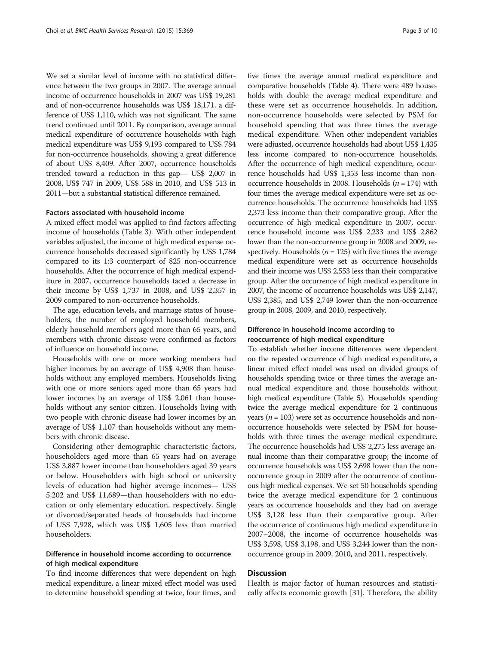We set a similar level of income with no statistical difference between the two groups in 2007. The average annual income of occurrence households in 2007 was US\$ 19,281 and of non-occurrence households was US\$ 18,171, a difference of US\$ 1,110, which was not significant. The same trend continued until 2011. By comparison, average annual medical expenditure of occurrence households with high medical expenditure was US\$ 9,193 compared to US\$ 784 for non-occurrence households, showing a great difference of about US\$ 8,409. After 2007, occurrence households trended toward a reduction in this gap— US\$ 2,007 in 2008, US\$ 747 in 2009, US\$ 588 in 2010, and US\$ 513 in 2011—but a substantial statistical difference remained.

#### Factors associated with household income

A mixed effect model was applied to find factors affecting income of households (Table [3](#page-5-0)). With other independent variables adjusted, the income of high medical expense occurrence households decreased significantly by US\$ 1,784 compared to its 1:3 counterpart of 825 non-occurrence households. After the occurrence of high medical expenditure in 2007, occurrence households faced a decrease in their income by US\$ 1,737 in 2008, and US\$ 2,357 in 2009 compared to non-occurrence households.

The age, education levels, and marriage status of householders, the number of employed household members, elderly household members aged more than 65 years, and members with chronic disease were confirmed as factors of influence on household income.

Households with one or more working members had higher incomes by an average of US\$ 4,908 than households without any employed members. Households living with one or more seniors aged more than 65 years had lower incomes by an average of US\$ 2,061 than households without any senior citizen. Households living with two people with chronic disease had lower incomes by an average of US\$ 1,107 than households without any members with chronic disease.

Considering other demographic characteristic factors, householders aged more than 65 years had on average US\$ 3,887 lower income than householders aged 39 years or below. Householders with high school or university levels of education had higher average incomes— US\$ 5,202 and US\$ 11,689—than householders with no education or only elementary education, respectively. Single or divorced/separated heads of households had income of US\$ 7,928, which was US\$ 1,605 less than married householders.

#### Difference in household income according to occurrence of high medical expenditure

To find income differences that were dependent on high medical expenditure, a linear mixed effect model was used to determine household spending at twice, four times, and five times the average annual medical expenditure and comparative households (Table [4\)](#page-6-0). There were 489 households with double the average medical expenditure and these were set as occurrence households. In addition, non-occurrence households were selected by PSM for household spending that was three times the average medical expenditure. When other independent variables were adjusted, occurrence households had about US\$ 1,435 less income compared to non-occurrence households. After the occurrence of high medical expenditure, occurrence households had US\$ 1,353 less income than nonoccurrence households in 2008. Households ( $n = 174$ ) with four times the average medical expenditure were set as occurrence households. The occurrence households had US\$ 2,373 less income than their comparative group. After the occurrence of high medical expenditure in 2007, occurrence household income was US\$ 2,233 and US\$ 2,862 lower than the non-occurrence group in 2008 and 2009, respectively. Households ( $n = 125$ ) with five times the average medical expenditure were set as occurrence households and their income was US\$ 2,553 less than their comparative group. After the occurrence of high medical expenditure in 2007, the income of occurrence households was US\$ 2,147, US\$ 2,385, and US\$ 2,749 lower than the non-occurrence group in 2008, 2009, and 2010, respectively.

#### Difference in household income according to reoccurrence of high medical expenditure

To establish whether income differences were dependent on the repeated occurrence of high medical expenditure, a linear mixed effect model was used on divided groups of households spending twice or three times the average annual medical expenditure and those households without high medical expenditure (Table [5\)](#page-7-0). Households spending twice the average medical expenditure for 2 continuous years ( $n = 103$ ) were set as occurrence households and nonoccurrence households were selected by PSM for households with three times the average medical expenditure. The occurrence households had US\$ 2,275 less average annual income than their comparative group; the income of occurrence households was US\$ 2,698 lower than the nonoccurrence group in 2009 after the occurrence of continuous high medical expenses. We set 50 households spending twice the average medical expenditure for 2 continuous years as occurrence households and they had on average US\$ 3,128 less than their comparative group. After the occurrence of continuous high medical expenditure in 2007–2008, the income of occurrence households was US\$ 3,598, US\$ 3,198, and US\$ 3,244 lower than the nonoccurrence group in 2009, 2010, and 2011, respectively.

#### Discussion

Health is major factor of human resources and statistically affects economic growth [[31\]](#page-9-0). Therefore, the ability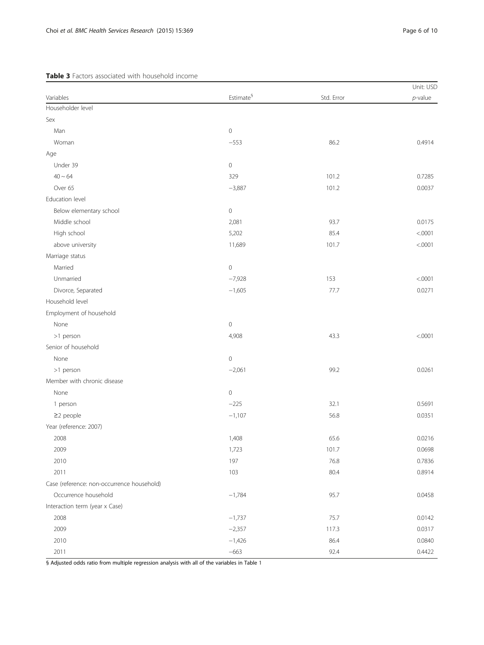# <span id="page-5-0"></span>Table 3 Factors associated with household income

|                                            |                       |            | Unit: USD<br>$p$ -value |  |
|--------------------------------------------|-----------------------|------------|-------------------------|--|
| Variables                                  | Estimate <sup>§</sup> | Std. Error |                         |  |
| Householder level                          |                       |            |                         |  |
| Sex                                        |                       |            |                         |  |
| Man                                        | 0                     |            |                         |  |
| Woman                                      | $-553$                | 86.2       | 0.4914                  |  |
| Age                                        |                       |            |                         |  |
| Under 39                                   | 0                     |            |                         |  |
| $40 \sim 64$                               | 329                   | 101.2      | 0.7285                  |  |
| Over 65                                    | $-3,887$              | 101.2      | 0.0037                  |  |
| Education level                            |                       |            |                         |  |
| Below elementary school                    | 0                     |            |                         |  |
| Middle school                              | 2,081                 | 93.7       | 0.0175                  |  |
| High school                                | 5,202                 | 85.4       | < .0001                 |  |
| above university                           | 11,689                | 101.7      | < .0001                 |  |
| Marriage status                            |                       |            |                         |  |
| Married                                    | 0                     |            |                         |  |
| Unmarried                                  | $-7,928$              | 153        | < .0001                 |  |
| Divorce, Separated                         | $-1,605$              | 77.7       | 0.0271                  |  |
| Household level                            |                       |            |                         |  |
| Employment of household                    |                       |            |                         |  |
| None                                       | $\mathbf 0$           |            |                         |  |
| >1 person                                  | 4,908                 | 43.3       | < .0001                 |  |
| Senior of household                        |                       |            |                         |  |
| None                                       | 0                     |            |                         |  |
| >1 person                                  | $-2,061$              | 99.2       | 0.0261                  |  |
| Member with chronic disease                |                       |            |                         |  |
| None                                       | $\circledcirc$        |            |                         |  |
| 1 person                                   | $-225$                | 32.1       | 0.5691                  |  |
| $\geq$ 2 people                            | $-1,107$              | 56.8       | 0.0351                  |  |
| Year (reference: 2007)                     |                       |            |                         |  |
| 2008                                       | 1,408                 | 65.6       | 0.0216                  |  |
| 2009                                       | 1,723                 | 101.7      | 0.0698                  |  |
| 2010                                       | 197                   | 76.8       | 0.7836                  |  |
| 2011                                       | 103                   | 80.4       | 0.8914                  |  |
| Case (reference: non-occurrence household) |                       |            |                         |  |
| Occurrence household                       | $-1,784$              | 95.7       | 0.0458                  |  |
| Interaction term (year x Case)             |                       |            |                         |  |
| 2008                                       | $-1,737$              | 75.7       | 0.0142                  |  |
| 2009                                       | $-2,357$              | 117.3      | 0.0317                  |  |
| 2010                                       | $-1,426$              | 86.4       | 0.0840                  |  |
| 2011                                       | $-663$                | 92.4       | 0.4422                  |  |

§ Adjusted odds ratio from multiple regression analysis with all of the variables in Table [1](#page-3-0)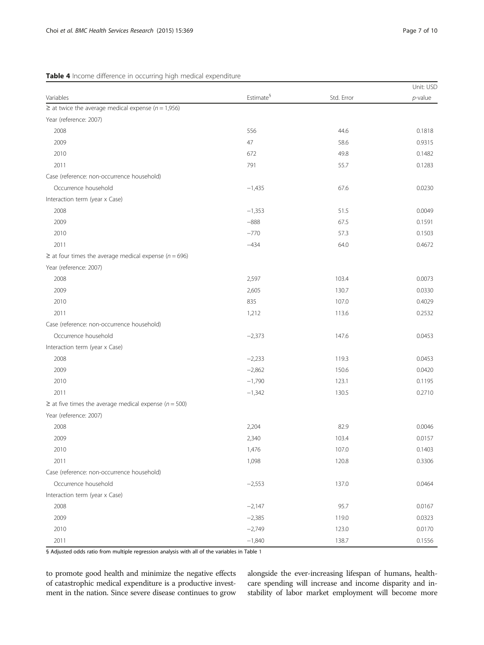#### <span id="page-6-0"></span>Table 4 Income difference in occurring high medical expenditure

|                                                               |                       |            | Unit: USD<br>$p$ -value |  |
|---------------------------------------------------------------|-----------------------|------------|-------------------------|--|
| Variables                                                     | Estimate <sup>§</sup> | Std. Error |                         |  |
| $\ge$ at twice the average medical expense ( $n = 1,956$ )    |                       |            |                         |  |
| Year (reference: 2007)                                        |                       |            |                         |  |
| 2008                                                          | 556                   | 44.6       | 0.1818                  |  |
| 2009                                                          | 47                    | 58.6       | 0.9315                  |  |
| 2010                                                          | 672                   | 49.8       | 0.1482                  |  |
| 2011                                                          | 791                   | 55.7       | 0.1283                  |  |
| Case (reference: non-occurrence household)                    |                       |            |                         |  |
| Occurrence household                                          | $-1,435$              | 67.6       | 0.0230                  |  |
| Interaction term (year x Case)                                |                       |            |                         |  |
| 2008                                                          | $-1,353$              | 51.5       | 0.0049                  |  |
| 2009                                                          | $-888$                | 67.5       | 0.1591                  |  |
| 2010                                                          | $-770$                | 57.3       | 0.1503                  |  |
| 2011                                                          | $-434$                | 64.0       | 0.4672                  |  |
| $\ge$ at four times the average medical expense ( $n = 696$ ) |                       |            |                         |  |
| Year (reference: 2007)                                        |                       |            |                         |  |
| 2008                                                          | 2,597                 | 103.4      | 0.0073                  |  |
| 2009                                                          | 2,605                 | 130.7      | 0.0330                  |  |
| 2010                                                          | 835                   | 107.0      | 0.4029                  |  |
| 2011                                                          | 1,212                 | 113.6      | 0.2532                  |  |
| Case (reference: non-occurrence household)                    |                       |            |                         |  |
| Occurrence household                                          | $-2,373$              | 147.6      | 0.0453                  |  |
| Interaction term (year x Case)                                |                       |            |                         |  |
| 2008                                                          | $-2,233$              | 119.3      | 0.0453                  |  |
| 2009                                                          | $-2,862$              | 150.6      | 0.0420                  |  |
| 2010                                                          | $-1,790$              | 123.1      | 0.1195                  |  |
| 2011                                                          | $-1,342$              | 130.5      | 0.2710                  |  |
| $\ge$ at five times the average medical expense ( $n = 500$ ) |                       |            |                         |  |
| Year (reference: 2007)                                        |                       |            |                         |  |
| 2008                                                          | 2,204                 | 82.9       | 0.0046                  |  |
| 2009                                                          | 2,340                 | 103.4      | 0.0157                  |  |
| 2010                                                          | 1,476                 | 107.0      | 0.1403                  |  |
| 2011                                                          | 1,098                 | 120.8      | 0.3306                  |  |
| Case (reference: non-occurrence household)                    |                       |            |                         |  |
| Occurrence household                                          | $-2,553$              | 137.0      | 0.0464                  |  |
| Interaction term (year x Case)                                |                       |            |                         |  |
| 2008                                                          | $-2,147$              | 95.7       | 0.0167                  |  |
| 2009                                                          | $-2,385$              | 119.0      | 0.0323                  |  |
| 2010                                                          | $-2,749$              | 123.0      | 0.0170                  |  |
| 2011                                                          | $-1,840$              | 138.7      | 0.1556                  |  |

§ Adjusted odds ratio from multiple regression analysis with all of the variables in Table [1](#page-3-0)

to promote good health and minimize the negative effects of catastrophic medical expenditure is a productive investment in the nation. Since severe disease continues to grow alongside the ever-increasing lifespan of humans, healthcare spending will increase and income disparity and instability of labor market employment will become more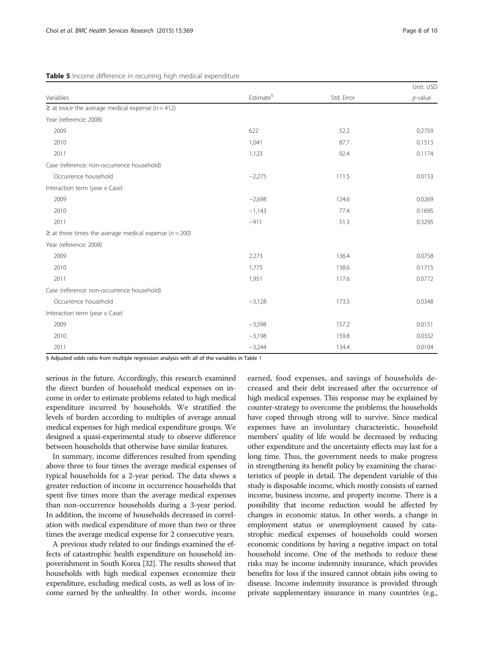|                                                                |                       |            | Unit: USD  |  |
|----------------------------------------------------------------|-----------------------|------------|------------|--|
| Variables                                                      | Estimate <sup>§</sup> | Std. Error | $p$ -value |  |
| $\ge$ at twice the average medical expense (n = 412)           |                       |            |            |  |
| Year (reference: 2008)                                         |                       |            |            |  |
| 2009                                                           | 622                   | 52.2       | 0.2759     |  |
| 2010                                                           | 1,041                 | 87.7       | 0.1513     |  |
| 2011                                                           | 1,123                 | 92.4       | 0.1174     |  |
| Case (reference: non-occurrence household)                     |                       |            |            |  |
| Occurrence household                                           | $-2,275$              | 111.5      | 0.0153     |  |
| Interaction term (year x Case)                                 |                       |            |            |  |
| 2009                                                           | $-2,698$              | 124.6      | 0.0269     |  |
| 2010                                                           | $-1,143$              | 77.4       | 0.1695     |  |
| 2011                                                           | $-911$                | 51.3       | 0.3295     |  |
| $\ge$ at three times the average medical expense ( $n = 200$ ) |                       |            |            |  |
| Year (reference: 2008)                                         |                       |            |            |  |
| 2009                                                           | 2,273                 | 136.4      | 0.0758     |  |
| 2010                                                           | 1,775                 | 138.6      | 0.1715     |  |
| 2011                                                           | 1,951                 | 117.6      | 0.0772     |  |
| Case (reference: non-occurrence household)                     |                       |            |            |  |
| Occurrence household                                           | $-3,128$              | 173.5      | 0.0348     |  |
| Interaction term (year x Case)                                 |                       |            |            |  |
| 2009                                                           | $-3,598$              | 157.2      | 0.0151     |  |
| 2010                                                           | $-3,198$              | 159.8      | 0.0332     |  |
| 2011                                                           | $-3,244$              | 134.4      | 0.0104     |  |

<span id="page-7-0"></span>Table 5 Income difference in recurring high medical expenditure

§ Adjusted odds ratio from multiple regression analysis with all of the variables in Table [1](#page-3-0)

serious in the future. Accordingly, this research examined the direct burden of household medical expenses on income in order to estimate problems related to high medical expenditure incurred by households. We stratified the levels of burden according to multiples of average annual medical expenses for high medical expenditure groups. We designed a quasi-experimental study to observe difference between households that otherwise have similar features.

In summary, income differences resulted from spending above three to four times the average medical expenses of typical households for a 2-year period. The data shows a greater reduction of income in occurrence households that spent five times more than the average medical expenses than non-occurrence households during a 3-year period. In addition, the income of households decreased in correlation with medical expenditure of more than two or three times the average medical expense for 2 consecutive years.

A previous study related to our findings examined the effects of catastrophic health expenditure on household impoverishment in South Korea [[32](#page-9-0)]. The results showed that households with high medical expenses economize their expenditure, excluding medical costs, as well as loss of income earned by the unhealthy. In other words, income

earned, food expenses, and savings of households decreased and their debt increased after the occurrence of high medical expenses. This response may be explained by counter-strategy to overcome the problems; the households have coped through strong will to survive. Since medical expenses have an involuntary characteristic, household members' quality of life would be decreased by reducing other expenditure and the uncertainty effects may last for a long time. Thus, the government needs to make progress in strengthening its benefit policy by examining the characteristics of people in detail. The dependent variable of this study is disposable income, which mostly consists of earned income, business income, and property income. There is a possibility that income reduction would be affected by changes in economic status. In other words, a change in employment status or unemployment caused by catastrophic medical expenses of households could worsen economic conditions by having a negative impact on total household income. One of the methods to reduce these risks may be income indemnity insurance, which provides benefits for loss if the insured cannot obtain jobs owing to disease. Income indemnity insurance is provided through private supplementary insurance in many countries (e.g.,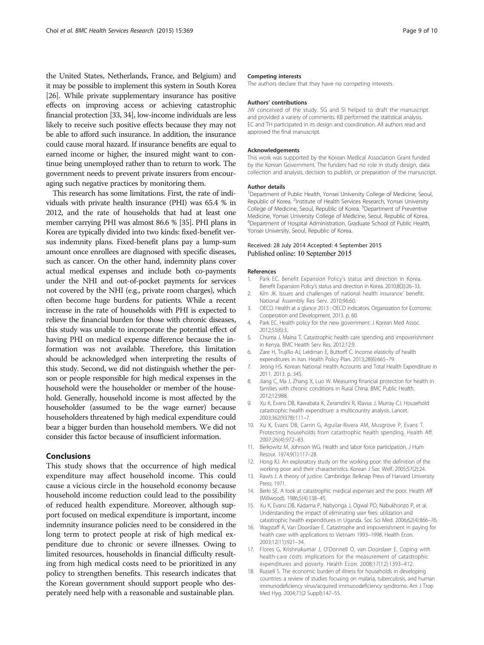<span id="page-8-0"></span>the United States, Netherlands, France, and Belgium) and it may be possible to implement this system in South Korea [[26](#page-9-0)]. While private supplementary insurance has positive effects on improving access or achieving catastrophic financial protection [\[33](#page-9-0), [34](#page-9-0)], low-income individuals are less likely to receive such positive effects because they may not be able to afford such insurance. In addition, the insurance could cause moral hazard. If insurance benefits are equal to earned income or higher, the insured might want to continue being unemployed rather than to return to work. The government needs to prevent private insurers from encouraging such negative practices by monitoring them.

This research has some limitations. First, the rate of individuals with private health insurance (PHI) was 65.4 % in 2012, and the rate of households that had at least one member carrying PHI was almost 86.6 % [[35\]](#page-9-0). PHI plans in Korea are typically divided into two kinds: fixed-benefit versus indemnity plans. Fixed-benefit plans pay a lump-sum amount once enrollees are diagnosed with specific diseases, such as cancer. On the other hand, indemnity plans cover actual medical expenses and include both co-payments under the NHI and out-of-pocket payments for services not covered by the NHI (e.g., private room charges), which often become huge burdens for patients. While a recent increase in the rate of households with PHI is expected to relieve the financial burden for those with chronic diseases, this study was unable to incorporate the potential effect of having PHI on medical expense difference because the information was not available. Therefore, this limitation should be acknowledged when interpreting the results of this study. Second, we did not distinguish whether the person or people responsible for high medical expenses in the household were the householder or member of the household. Generally, household income is most affected by the householder (assumed to be the wage earner) because householders threatened by high medical expenditure could bear a bigger burden than household members. We did not consider this factor because of insufficient information.

# Conclusions

This study shows that the occurrence of high medical expenditure may affect household income. This could cause a vicious circle in the household economy because household income reduction could lead to the possibility of reduced health expenditure. Moreover, although support focused on medical expenditure is important, income indemnity insurance policies need to be considered in the long term to protect people at risk of high medical expenditure due to chronic or severe illnesses. Owing to limited resources, households in financial difficulty resulting from high medical costs need to be prioritized in any policy to strengthen benefits. This research indicates that the Korean government should support people who desperately need help with a reasonable and sustainable plan.

#### Competing interests

The authors declare that they have no competing interests.

#### Authors' contributions

JW conceived of the study. SG and SI helped to draft the manuscript and provided a variety of comments. KB performed the statistical analysis. EC and TH participated in its design and coordination. All authors read and approved the final manuscript.

#### Acknowledgements

This work was supported by the Korean Medical Association Grant funded by the Korean Government. The funders had no role in study design, data collection and analysis, decision to publish, or preparation of the manuscript.

#### Author details

<sup>1</sup>Department of Public Health, Yonsei University College of Medicine, Seoul, Republic of Korea. <sup>2</sup>Institute of Health Services Research, Yonsei University College of Medicine, Seoul, Republic of Korea. <sup>3</sup>Department of Preventive Medicine, Yonsei University College of Medicine, Seoul, Republic of Korea. 4 Department of Hospital Administration, Graduate School of Public Health, Yonsei University, Seoul, Republic of Korea.

#### Received: 28 July 2014 Accepted: 4 September 2015 Published online: 10 September 2015

#### References

- 1. Park EC. Benefit Expansion Policy's status and direction in Korea. Benefit Expansion Policy's status and direction in Korea. 2010;8(3):26–33.
- 2. Kim JK. Issues and challenges of national health insurance' benefit. National Assembly Res Serv. 2010;96:60.
- 3. OECD. Health at a glance 2013 : OECD indicators. Organization for Economic Cooperation and Development. 2013. p. 60.
- 4. Park EC. Health policy for the new government. J Korean Med Assoc. 2012;55(6):3.
- 5. Chuma J, Maina T. Catastrophic health care spending and impoverishment in Kenya. BMC Health Serv Res. 2012;12:9.
- 6. Zare H, Trujillo AJ, Leidman E, Buttorff C. Income elasticity of health expenditures in Iran. Health Policy Plan. 2013;28(6):665–79.
- 7. Jeong HS. Korean National Health Accounts and Total Health Expenditure in 2011. 2013. p. 345.
- 8. Jiang C, Ma J, Zhang X, Luo W. Measuring financial protection for health in families with chronic conditions in Rural China. BMC Public Health. 2012;12:988.
- 9. Xu K, Evans DB, Kawabata K, Zeramdini R, Klavus J, Murray CJ. Household catastrophic health expenditure: a multicountry analysis. Lancet. 2003;362(9378):111–7.
- 10. Xu K, Evans DB, Carrin G, Aguilar-Rivera AM, Musgrove P, Evans T. Protecting households from catastrophic health spending. Health Aff. 2007;26(4):972–83.
- 11. Berkowitz M, Johnson WG. Health and labor force participation. J Hum Resour. 1974;9(1):117–28.
- 12. Hong KJ. An exploratory study on the working poor: the definition of the working poor and their characteristics. Korean J Soc Welf. 2005;57(2):24.
- 13. Rawls J. A theory of justice. Cambridge: Belknap Press of Harvard University Press; 1971.
- 14. Berki SE. A look at catastrophic medical expenses and the poor. Health Aff (Millwood). 1986;5(4):138–45.
- 15. Xu K, Evans DB, Kadama P, Nabyonga J, Ogwal PO, Nabukhonzo P, et al. Understanding the impact of eliminating user fees: utilization and catastrophic health expenditures in Uganda. Soc Sci Med. 2006;62(4):866–76.
- 16. Wagstaff A, Van Doorslaer E. Catastrophe and impoverishment in paying for health care: with applications to Vietnam 1993–1998. Health Econ. 2003;12(11):921–34.
- 17. Flores G, Krishnakumar J, O'Donnell O, van Doorslaer E. Coping with health-care costs: implications for the measurement of catastrophic expenditures and poverty. Health Econ. 2008;17(12):1393–412.
- 18. Russell S. The economic burden of illness for households in developing countries: a review of studies focusing on malaria, tuberculosis, and human immunodeficiency virus/acquired immunodeficiency syndrome. Am J Trop Med Hyg. 2004;71(2 Suppl):147–55.